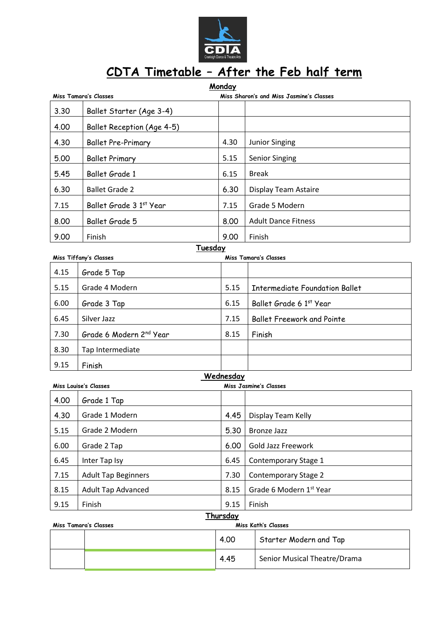

## **CDTA Timetable – After the Feb half term**

| Monday<br><b>Miss Tamara's Classes</b><br>Miss Sharon's and Miss Jasmine's Classes |                                     |           |                                       |  |  |  |
|------------------------------------------------------------------------------------|-------------------------------------|-----------|---------------------------------------|--|--|--|
| 3.30                                                                               | Ballet Starter (Age 3-4)            |           |                                       |  |  |  |
| 4.00                                                                               | Ballet Reception (Age 4-5)          |           |                                       |  |  |  |
| 4.30                                                                               | <b>Ballet Pre-Primary</b>           | 4.30      | <b>Junior Singing</b>                 |  |  |  |
| 5.00                                                                               | <b>Ballet Primary</b>               | 5.15      | <b>Senior Singing</b>                 |  |  |  |
| 5.45                                                                               | Ballet Grade 1                      | 6.15      | <b>Break</b>                          |  |  |  |
| 6.30                                                                               | <b>Ballet Grade 2</b>               | 6.30      | Display Team Astaire                  |  |  |  |
| 7.15                                                                               | Ballet Grade 3 1st Year             | 7.15      | Grade 5 Modern                        |  |  |  |
| 8.00                                                                               | Ballet Grade 5                      | 8.00      | <b>Adult Dance Fitness</b>            |  |  |  |
| 9.00                                                                               | Finish                              | 9.00      | Finish                                |  |  |  |
| Tuesday                                                                            |                                     |           |                                       |  |  |  |
| 4.15                                                                               | Miss Tiffany's Classes              |           | Miss Tamara's Classes                 |  |  |  |
|                                                                                    | Grade 5 Tap                         |           |                                       |  |  |  |
| 5.15                                                                               | Grade 4 Modern                      | 5.15      | <b>Intermediate Foundation Ballet</b> |  |  |  |
| 6.00                                                                               | Grade 3 Tap                         | 6.15      | Ballet Grade 6 1st Year               |  |  |  |
| 6.45                                                                               | Silver Jazz                         | 7.15      | <b>Ballet Freework and Pointe</b>     |  |  |  |
| 7.30                                                                               | Grade 6 Modern 2 <sup>nd</sup> Year | 8.15      | Finish                                |  |  |  |
| 8.30                                                                               | Tap Intermediate                    |           |                                       |  |  |  |
| 9.15                                                                               | Finish                              |           |                                       |  |  |  |
|                                                                                    |                                     | Wednesday |                                       |  |  |  |
|                                                                                    | <b>Miss Louise's Classes</b>        |           | <b>Miss Jasmine's Classes</b>         |  |  |  |
| 4.00                                                                               | Grade 1 Tap                         |           |                                       |  |  |  |
| 4.30                                                                               | Grade 1 Modern                      | 4.45      | Display Team Kelly                    |  |  |  |
| 5.15                                                                               | Grade 2 Modern                      | 5.30      | <b>Bronze Jazz</b>                    |  |  |  |
| 6.00                                                                               | Grade 2 Tap                         | 6.00      | Gold Jazz Freework                    |  |  |  |
| 6.45                                                                               | Inter Tap Isy                       | 6.45      | Contemporary Stage 1                  |  |  |  |
| 7.15                                                                               | <b>Adult Tap Beginners</b>          | 7.30      | <b>Contemporary Stage 2</b>           |  |  |  |
| 8.15                                                                               | <b>Adult Tap Advanced</b>           | 8.15      | Grade 6 Modern 1st Year               |  |  |  |
| 9.15                                                                               | Finish                              | 9.15      | Finish                                |  |  |  |
| Thursday                                                                           |                                     |           |                                       |  |  |  |

| Miss Tamara's Classes |  | Miss Kath's Classes |                              |  |
|-----------------------|--|---------------------|------------------------------|--|
|                       |  | 4.00                | Starter Modern and Tap       |  |
|                       |  | 4.45                | Senior Musical Theatre/Drama |  |